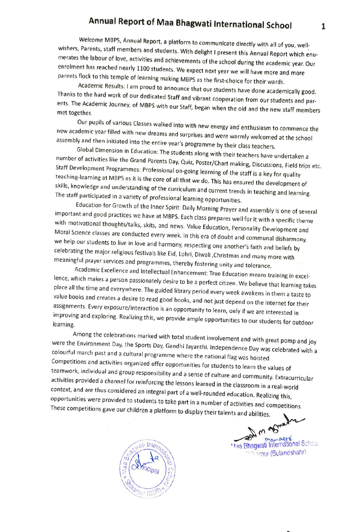## Annual Report of Maa Bhagwati International School

Welcome MBPS, Annual Report, a platform to communicate directly with all of you, well-<br>wishers, Parents, staff members and students. With delight I present this Annual Report which enu-<br>merates the labour of love, activiti

enrolment has reached nearly 1100 students. We expect next year we will have more and more<br>parents flock to this temple of learning making MBPS as the first-choice for their wards.<br>Academic Results: I am proud to announce ents. The Academic Journey, of MBPS with our Staff, began when the old and the new staff members<br>met together.

Our pupils of various Classes walked into with new energy and enthusiasm to commence the<br>new academic year filled with new dreams and surprises and were warmly welcomed at the school<br>assembly and then initiated into the en

we help our students to live in love and harmony, respecting one another's faith and beliefs by<br>celebrating the major religious festivals like Eid, Lohri, Diwali ,Christmas and many more with<br>meaningful prayer services and value books and creates a desire to read good books, and not just depend on the internet for their<br>assignments. Every exposure/interaction is an opportunity to learn, only if we are interested in<br>improving and exploring. R

were the Environment Day, the Sports Day, Gandhi Jayanthi. Independence Day was celebrated with a<br>colourful march past and a cultural programme where the national flag was hoisted.<br>Competitions and activities organized off



**Maa Bhagwati International School Verour (Bulandshahr)**